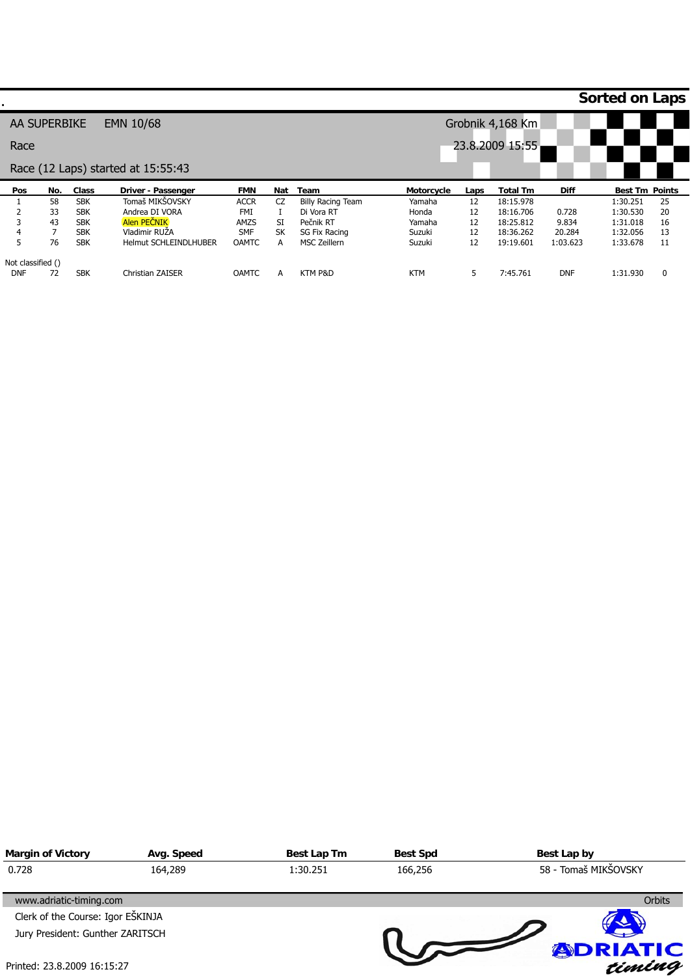|                   |     |            |                                    |              |           |                          |                   |      |                  |             | <b>Sorted on Laps</b> |          |
|-------------------|-----|------------|------------------------------------|--------------|-----------|--------------------------|-------------------|------|------------------|-------------|-----------------------|----------|
| AA SUPERBIKE      |     |            | EMN 10/68                          |              |           |                          |                   |      | Grobnik 4,168 Km |             |                       |          |
| Race              |     |            |                                    |              |           |                          |                   |      | 23.8.2009 15:55  |             |                       |          |
|                   |     |            | Race (12 Laps) started at 15:55:43 |              |           |                          |                   |      |                  |             |                       |          |
| Pos               | No. | Class      | Driver - Passenger                 | <b>FMN</b>   | Nat       | Team                     | <b>Motorcycle</b> | Laps | <b>Total Tm</b>  | <b>Diff</b> | <b>Best Tm Points</b> |          |
|                   | 58  | <b>SBK</b> | Tomaš MIKŠOVSKY                    | <b>ACCR</b>  | CZ        | <b>Billy Racing Team</b> | Yamaha            | 12   | 18:15.978        |             | 1:30.251              | 25       |
|                   | 33  | <b>SBK</b> | Andrea DI VORA                     | FMI          |           | Di Vora RT               | Honda             | 12   | 18:16.706        | 0.728       | 1:30.530              | 20       |
|                   | 43  | <b>SBK</b> | Alen PECNIK                        | AMZS         | SI        | Pečnik RT                | Yamaha            | 12   | 18:25.812        | 9.834       | 1:31.018              | 16       |
| 4                 |     | <b>SBK</b> | Vladimir RUŽA                      | <b>SMF</b>   | <b>SK</b> | SG Fix Racing            | Suzuki            | 12   | 18:36.262        | 20.284      | 1:32.056              | 13       |
| 5                 | 76  | <b>SBK</b> | <b>Helmut SCHLEINDLHUBER</b>       | <b>OAMTC</b> | A         | <b>MSC Zeillern</b>      | Suzuki            | 12   | 19:19.601        | 1:03.623    | 1:33.678              | 11       |
| Not classified () |     |            |                                    |              |           |                          |                   |      |                  |             |                       |          |
| <b>DNF</b>        | 72  | <b>SBK</b> | Christian ZAISER                   | <b>OAMTC</b> | A         | KTM P&D                  | <b>KTM</b>        | 5    | 7:45.761         | <b>DNF</b>  | 1:31.930              | $\Omega$ |

| <b>Margin of Victory</b>          | Avg. Speed | Best Lap Tm | <b>Best Spd</b> | Best Lap by          |  |  |
|-----------------------------------|------------|-------------|-----------------|----------------------|--|--|
| 0.728                             | 164,289    | 1:30.251    | 166,256         | 58 - Tomaš MIKŠOVSKY |  |  |
| www.adriatic-timing.com           |            |             |                 | <b>Orbits</b>        |  |  |
| Clerk of the Course: Igor EŠKINJA |            |             |                 |                      |  |  |
| Jury President: Gunther ZARITSCH  |            |             |                 |                      |  |  |
| Printed: 23.8.2009 16:15:27       |            |             |                 | <b>ADRIATIC</b>      |  |  |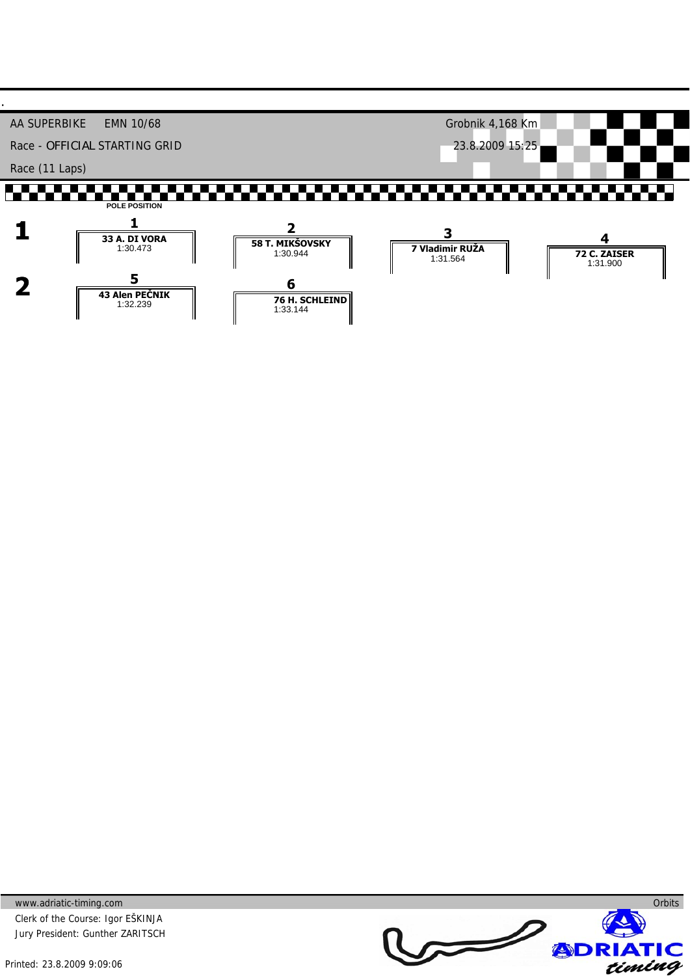

www.adriatic-timing.com Clerk of the Course: Igor EŠKINJA Jury President: Gunther ZARITSCH **Orbits**